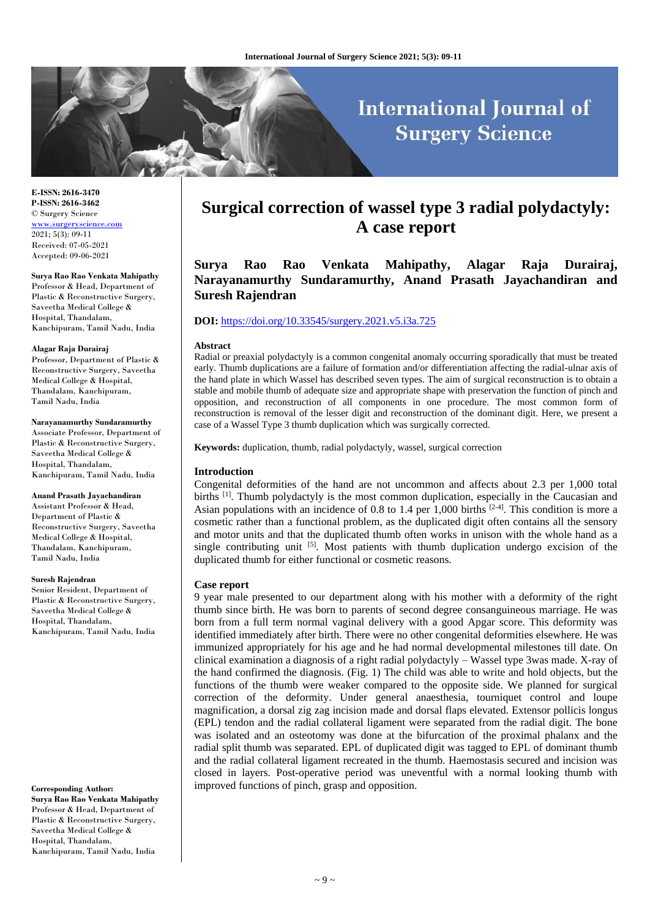# **International Journal of Surgery Science**

**E-ISSN: 2616-3470 P-ISSN: 2616-3462** © Surgery Science [www.surgeryscience.com](http://www.surgeryscience.com/) 2021; 5(3): 09-11 Received: 07-05-2021 Accepted: 09-06-2021

**Surya Rao Rao Venkata Mahipathy** Professor & Head, Department of Plastic & Reconstructive Surgery, Saveetha Medical College &

Hospital, Thandalam, Kanchipuram, Tamil Nadu, India

#### **Alagar Raja Durairaj**

Professor, Department of Plastic & Reconstructive Surgery, Saveetha Medical College & Hospital, Thandalam, Kanchipuram, Tamil Nadu, India

#### **Narayanamurthy Sundaramurthy**

Associate Professor, Department of Plastic & Reconstructive Surgery, Saveetha Medical College & Hospital, Thandalam, Kanchipuram, Tamil Nadu, India

**Anand Prasath Jayachandiran** Assistant Professor & Head, Department of Plastic & Reconstructive Surgery, Saveetha Medical College & Hospital, Thandalam, Kanchipuram, Tamil Nadu, India

#### **Suresh Rajendran**

Senior Resident, Department of Plastic & Reconstructive Surgery, Saveetha Medical College & Hospital, Thandalam, Kanchipuram, Tamil Nadu, India

**Corresponding Author: Surya Rao Rao Venkata Mahipathy** Professor & Head, Department of Plastic & Reconstructive Surgery, Saveetha Medical College & Hospital, Thandalam, Kanchipuram, Tamil Nadu, India

# **Surgical correction of wassel type 3 radial polydactyly: A case report**

**Surya Rao Rao Venkata Mahipathy, Alagar Raja Durairaj, Narayanamurthy Sundaramurthy, Anand Prasath Jayachandiran and Suresh Rajendran**

# **DOI:** <https://doi.org/10.33545/surgery.2021.v5.i3a.725>

#### **Abstract**

Radial or preaxial polydactyly is a common congenital anomaly occurring sporadically that must be treated early. Thumb duplications are a failure of formation and/or differentiation affecting the radial-ulnar axis of the hand plate in which Wassel has described seven types. The aim of surgical reconstruction is to obtain a stable and mobile thumb of adequate size and appropriate shape with preservation the function of pinch and opposition, and reconstruction of all components in one procedure. The most common form of reconstruction is removal of the lesser digit and reconstruction of the dominant digit. Here, we present a case of a Wassel Type 3 thumb duplication which was surgically corrected.

**Keywords:** duplication, thumb, radial polydactyly, wassel, surgical correction

# **Introduction**

Congenital deformities of the hand are not uncommon and affects about 2.3 per 1,000 total births  $^{[1]}$ . Thumb polydactyly is the most common duplication, especially in the Caucasian and Asian populations with an incidence of 0.8 to 1.4 per 1,000 births  $[2-4]$ . This condition is more a cosmetic rather than a functional problem, as the duplicated digit often contains all the sensory and motor units and that the duplicated thumb often works in unison with the whole hand as a single contributing unit  $[5]$ . Most patients with thumb duplication undergo excision of the duplicated thumb for either functional or cosmetic reasons.

#### **Case report**

9 year male presented to our department along with his mother with a deformity of the right thumb since birth. He was born to parents of second degree consanguineous marriage. He was born from a full term normal vaginal delivery with a good Apgar score. This deformity was identified immediately after birth. There were no other congenital deformities elsewhere. He was immunized appropriately for his age and he had normal developmental milestones till date. On clinical examination a diagnosis of a right radial polydactyly – Wassel type 3was made. X-ray of the hand confirmed the diagnosis. (Fig. 1) The child was able to write and hold objects, but the functions of the thumb were weaker compared to the opposite side. We planned for surgical correction of the deformity. Under general anaesthesia, tourniquet control and loupe magnification, a dorsal zig zag incision made and dorsal flaps elevated. Extensor pollicis longus (EPL) tendon and the radial collateral ligament were separated from the radial digit. The bone was isolated and an osteotomy was done at the bifurcation of the proximal phalanx and the radial split thumb was separated. EPL of duplicated digit was tagged to EPL of dominant thumb and the radial collateral ligament recreated in the thumb. Haemostasis secured and incision was closed in layers. Post-operative period was uneventful with a normal looking thumb with improved functions of pinch, grasp and opposition.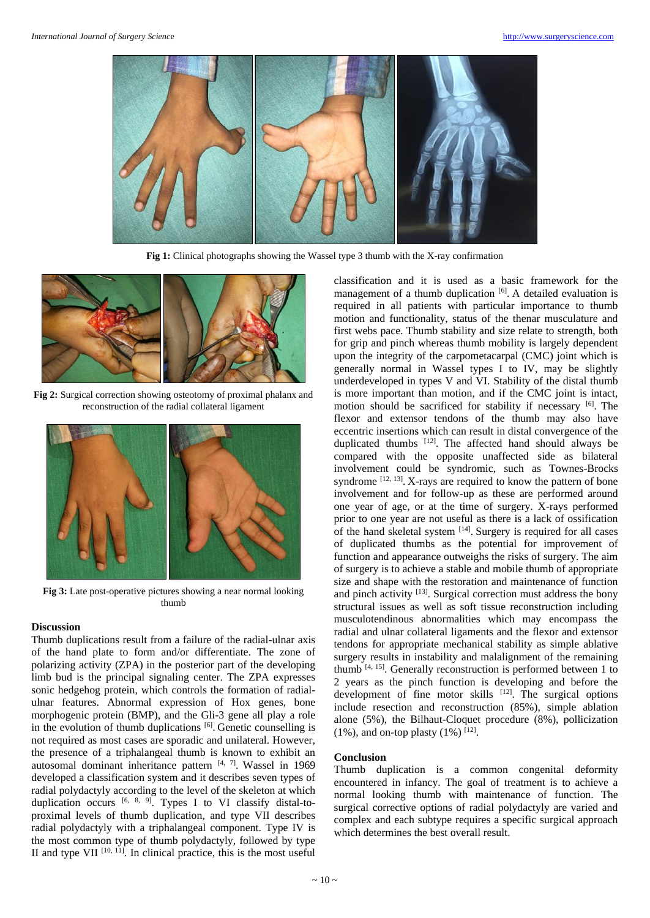

**Fig 1:** Clinical photographs showing the Wassel type 3 thumb with the X-ray confirmation



**Fig 2:** Surgical correction showing osteotomy of proximal phalanx and reconstruction of the radial collateral ligament



**Fig 3:** Late post-operative pictures showing a near normal looking thumb

## **Discussion**

Thumb duplications result from a failure of the radial-ulnar axis of the hand plate to form and/or differentiate. The zone of polarizing activity (ZPA) in the posterior part of the developing limb bud is the principal signaling center. The ZPA expresses sonic hedgehog protein, which controls the formation of radialulnar features. Abnormal expression of Hox genes, bone morphogenic protein (BMP), and the Gli-3 gene all play a role in the evolution of thumb duplications [6]. Genetic counselling is not required as most cases are sporadic and unilateral. However, the presence of a triphalangeal thumb is known to exhibit an autosomal dominant inheritance pattern  $[4, 7]$ . Wassel in 1969 developed a classification system and it describes seven types of radial polydactyly according to the level of the skeleton at which duplication occurs  $[6, 8, 9]$ . Types I to VI classify distal-toproximal levels of thumb duplication, and type VII describes radial polydactyly with a triphalangeal component. Type IV is the most common type of thumb polydactyly, followed by type II and type VII  $[10, 11]$ . In clinical practice, this is the most useful classification and it is used as a basic framework for the management of a thumb duplication [6]. A detailed evaluation is required in all patients with particular importance to thumb motion and functionality, status of the thenar musculature and first webs pace. Thumb stability and size relate to strength, both for grip and pinch whereas thumb mobility is largely dependent upon the integrity of the carpometacarpal (CMC) joint which is generally normal in Wassel types I to IV, may be slightly underdeveloped in types V and VI. Stability of the distal thumb is more important than motion, and if the CMC joint is intact, motion should be sacrificed for stability if necessary [6] . The flexor and extensor tendons of the thumb may also have eccentric insertions which can result in distal convergence of the duplicated thumbs [12]. The affected hand should always be compared with the opposite unaffected side as bilateral involvement could be syndromic, such as Townes-Brocks syndrome  $[12, 13]$ . X-rays are required to know the pattern of bone involvement and for follow-up as these are performed around one year of age, or at the time of surgery. X-rays performed prior to one year are not useful as there is a lack of ossification of the hand skeletal system [14]. Surgery is required for all cases of duplicated thumbs as the potential for improvement of function and appearance outweighs the risks of surgery. The aim of surgery is to achieve a stable and mobile thumb of appropriate size and shape with the restoration and maintenance of function and pinch activity <sup>[13]</sup>. Surgical correction must address the bony structural issues as well as soft tissue reconstruction including musculotendinous abnormalities which may encompass the radial and ulnar collateral ligaments and the flexor and extensor tendons for appropriate mechanical stability as simple ablative surgery results in instability and malalignment of the remaining thumb  $[4, 15]$ . Generally reconstruction is performed between 1 to 2 years as the pinch function is developing and before the development of fine motor skills <sup>[12]</sup>. The surgical options include resection and reconstruction (85%), simple ablation alone (5%), the Bilhaut-Cloquet procedure (8%), pollicization  $(1\%)$ , and on-top plasty  $(1\%)$ <sup>[12]</sup>.

## **Conclusion**

Thumb duplication is a common congenital deformity encountered in infancy. The goal of treatment is to achieve a normal looking thumb with maintenance of function. The surgical corrective options of radial polydactyly are varied and complex and each subtype requires a specific surgical approach which determines the best overall result.